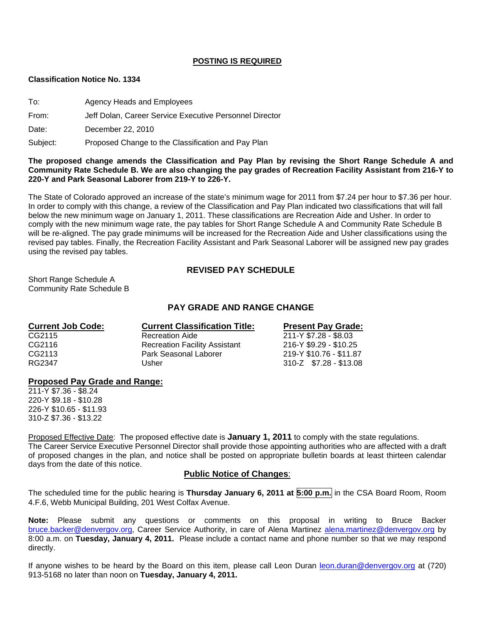### **POSTING IS REQUIRED**

#### **Classification Notice No. 1334**

To: Agency Heads and Employees

From: Jeff Dolan, Career Service Executive Personnel Director

Date: December 22, 2010

Subject: Proposed Change to the Classification and Pay Plan

### **The proposed change amends the Classification and Pay Plan by revising the Short Range Schedule A and Community Rate Schedule B. We are also changing the pay grades of Recreation Facility Assistant from 216-Y to 220-Y and Park Seasonal Laborer from 219-Y to 226-Y.**

The State of Colorado approved an increase of the state's minimum wage for 2011 from \$7.24 per hour to \$7.36 per hour. In order to comply with this change, a review of the Classification and Pay Plan indicated two classifications that will fall below the new minimum wage on January 1, 2011. These classifications are Recreation Aide and Usher. In order to comply with the new minimum wage rate, the pay tables for Short Range Schedule A and Community Rate Schedule B will be re-aligned. The pay grade minimums will be increased for the Recreation Aide and Usher classifications using the revised pay tables. Finally, the Recreation Facility Assistant and Park Seasonal Laborer will be assigned new pay grades using the revised pay tables.

# **REVISED PAY SCHEDULE**

Short Range Schedule A Community Rate Schedule B

# **PAY GRADE AND RANGE CHANGE**

| <b>Current Classification Title:</b> | <b>Present Pay Grade:</b> |  |  |  |
|--------------------------------------|---------------------------|--|--|--|
| <b>Recreation Aide</b>               | 211-Y \$7.28 - \$8.03     |  |  |  |
| <b>Recreation Facility Assistant</b> | 216-Y \$9.29 - \$10.25    |  |  |  |
| Park Seasonal Laborer                | 219-Y \$10.76 - \$11.87   |  |  |  |
| Usher                                | 310-Z \$7.28 - \$13.08    |  |  |  |
|                                      |                           |  |  |  |

### **Proposed Pay Grade and Range:**

211-Y \$7.36 - \$8.24 220-Y \$9.18 - \$10.28 226-Y \$10.65 - \$11.93 310-Z \$7.36 - \$13.22

Proposed Effective Date: The proposed effective date is **January 1, 2011** to comply with the state regulations.

The Career Service Executive Personnel Director shall provide those appointing authorities who are affected with a draft of proposed changes in the plan, and notice shall be posted on appropriate bulletin boards at least thirteen calendar days from the date of this notice.

### **Public Notice of Changes**:

The scheduled time for the public hearing is **Thursday January 6, 2011 at 5:00 p.m.** in the CSA Board Room, Room 4.F.6, Webb Municipal Building, 201 West Colfax Avenue.

**Note:** Please submit any questions or comments on this proposal in writing to Bruce Backer [bruce.backer@denvergov.org,](mailto:bruce.backer@denvergov.org) Career Service Authority, in care of Alena Martinez [alena.martinez@denvergov.org](mailto:alena.martinez@denvergov.org) by 8:00 a.m. on **Tuesday, January 4, 2011.** Please include a contact name and phone number so that we may respond directly.

If anyone wishes to be heard by the Board on this item, please call Leon Duran [leon.duran@denvergov.org](mailto:leon.duran@denvergov.org) at (720) 913-5168 no later than noon on **Tuesday, January 4, 2011.**